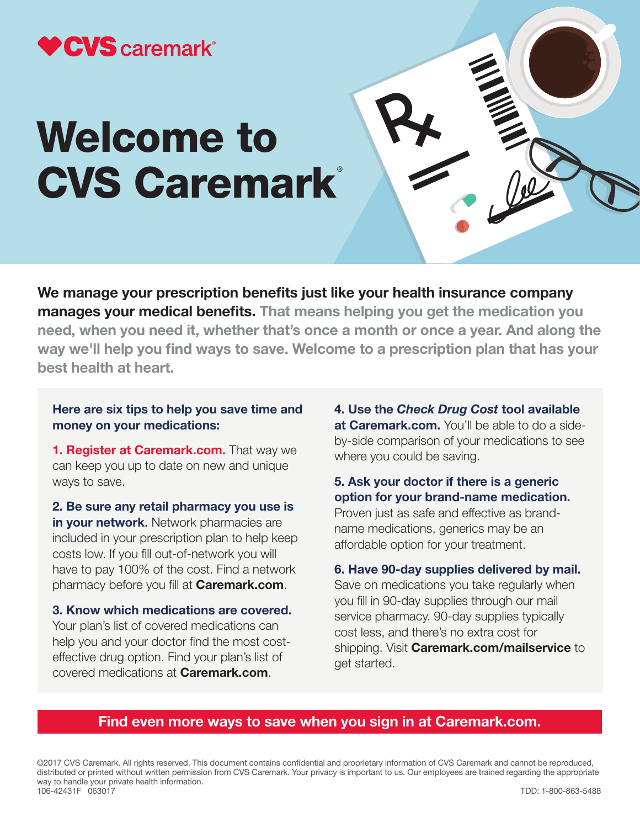

# Welcome to **CVS Caremark®**

We manage your prescription benefits just like your health insurance company manages your medical benefits. That means helping you get the medication you need, when you need it, whether that's once a month or once a year. And along the way we'll help you find ways to save. Welcome to a prescription plan that has your best health at heart.

# Here are six tips to help you save time and money on your medications:

1. Register at Caremark.com. That way we can keep you up to date on new and unique ways to save.

2. Be sure any retail pharmacy you use is in your network. Network pharmacies are included in your prescription plan to help keep costs low. If you fill out-of-network you will have to pay 100% of the cost. Find a network pharmacy before you fill at **Caremark.com**.

3. Know which medications are covered. Your plan's list of covered medications can help you and your doctor find the most costeffective drug option. Find your plan's list of covered medications at Caremark.com.

4. Use the *Check Drug Cost* tool available at Caremark.com. You'll be able to do a sideby-side comparison of your medications to see where you could be saving.

5. Ask your doctor if there is a generic option for your brand-name medication. Proven just as safe and effective as brandname medications, generics may be an affordable option for your treatment.

# 6. Have 90-day supplies delivered by mail.

Save on medications you take regularly when you fill in 90-day supplies through our mail service pharmacy. 90-day supplies typically cost less, and there's no extra cost for shipping. Visit **Caremark.com/mailservice** to get started.

# Find even more ways to save when you sign in at Caremark.com.

©2017 CVS Caremark. All rights reserved. This document contains confidential and proprietary information of CVS Caremark and cannot be reproduced, distributed or printed without written permission from CVS Caremark. Your privacy is important to us. Our employees are trained regarding the appropriate way to handle your private health information. 106-42431F 063017 TDD: 1-800-863-5488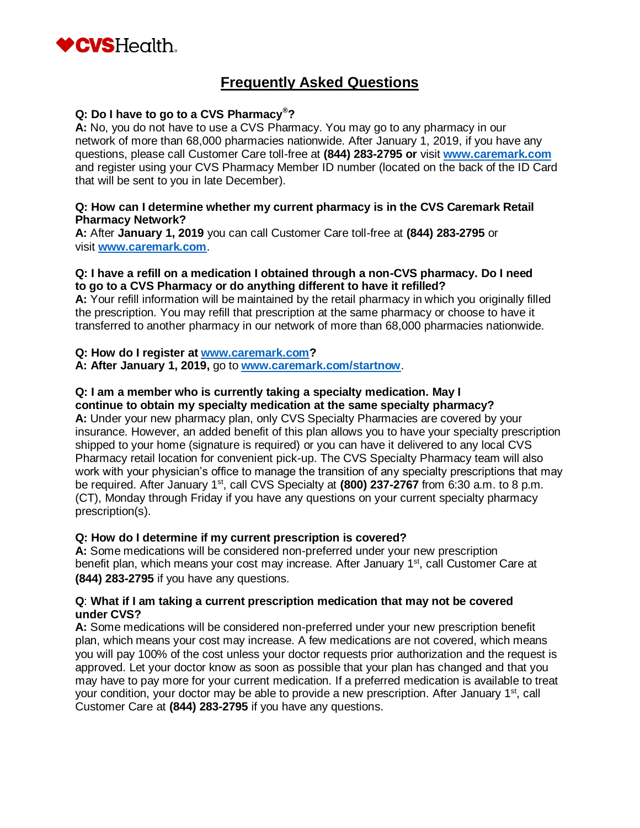

# **Frequently Asked Questions**

# **Q: Do I have to go to a CVS Pharmacy®?**

**A:** No, you do not have to use a CVS Pharmacy. You may go to any pharmacy in our network of more than 68,000 pharmacies nationwide. After January 1, 2019, if you have any questions, please call Customer Care toll-free at **(844) 283-2795 or** visit **[www.caremark.com](http://www.caremark.com/)** and register using your CVS Pharmacy Member ID number (located on the back of the ID Card that will be sent to you in late December).

#### **Q: How can I determine whether my current pharmacy is in the CVS Caremark Retail Pharmacy Network?**

**A:** After **January 1, 2019** you can call Customer Care toll-free at **(844) 283-2795** or visit **[www.caremark.com](http://www.caremark.com/)**.

#### **Q: I have a refill on a medication I obtained through a non-CVS pharmacy. Do I need to go to a CVS Pharmacy or do anything different to have it refilled?**

**A:** Your refill information will be maintained by the retail pharmacy in which you originally filled the prescription. You may refill that prescription at the same pharmacy or choose to have it transferred to another pharmacy in our network of more than 68,000 pharmacies nationwide.

#### **Q: How do I register at [www.caremark.com?](http://www.caremark.com/)**

**A: After January 1, 2019,** go to **[www.caremark.com/startnow](http://www.caremark.com/startnow)**.

#### **Q: I am a member who is currently taking a specialty medication. May I continue to obtain my specialty medication at the same specialty pharmacy?**

**A:** Under your new pharmacy plan, only CVS Specialty Pharmacies are covered by your insurance. However, an added benefit of this plan allows you to have your specialty prescription shipped to your home (signature is required) or you can have it delivered to any local CVS Pharmacy retail location for convenient pick-up. The CVS Specialty Pharmacy team will also work with your physician's office to manage the transition of any specialty prescriptions that may be required. After January 1<sup>st</sup>, call CVS Specialty at (800) 237-2767 from 6:30 a.m. to 8 p.m. (CT), Monday through Friday if you have any questions on your current specialty pharmacy prescription(s).

# **Q: How do I determine if my current prescription is covered?**

**A:** Some medications will be considered non-preferred under your new prescription benefit plan, which means your cost may increase. After January 1<sup>st</sup>, call Customer Care at **(844) 283-2795** if you have any questions.

#### **Q**: **What if I am taking a current prescription medication that may not be covered under CVS?**

**A:** Some medications will be considered non-preferred under your new prescription benefit plan, which means your cost may increase. A few medications are not covered, which means you will pay 100% of the cost unless your doctor requests prior authorization and the request is approved. Let your doctor know as soon as possible that your plan has changed and that you may have to pay more for your current medication. If a preferred medication is available to treat your condition, your doctor may be able to provide a new prescription. After January 1<sup>st</sup>, call Customer Care at **(844) 283-2795** if you have any questions.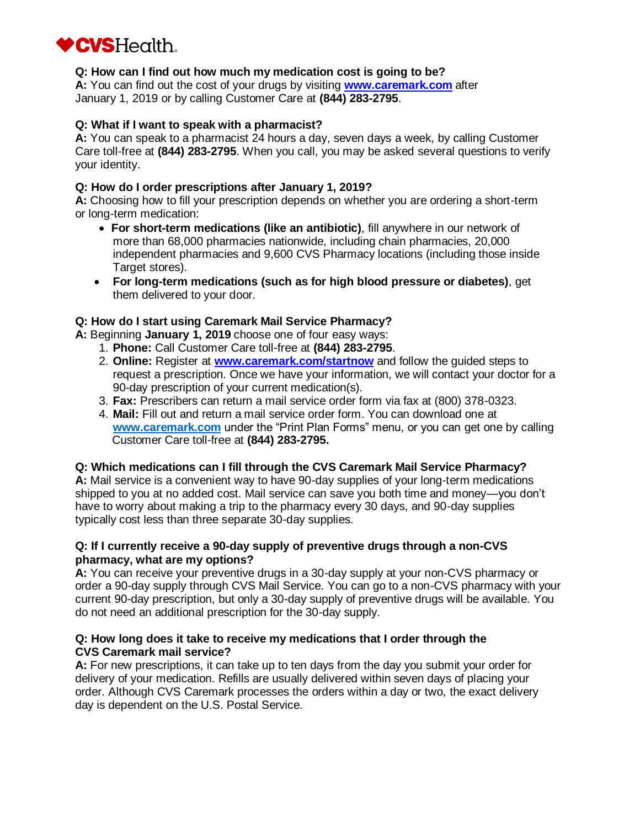

# **Q: How can I find out how much my medication cost is going to be?**

**A:** You can find out the cost of your drugs by visiting **[www.caremark.com](http://www.caremark.com/)** after January 1, 2019 or by calling Customer Care at **(844) 283-2795**.

#### **Q: What if I want to speak with a pharmacist?**

**A:** You can speak to a pharmacist 24 hours a day, seven days a week, by calling Customer Care toll-free at **(844) 283-2795**. When you call, you may be asked several questions to verify your identity.

#### **Q: How do I order prescriptions after January 1, 2019?**

**A:** Choosing how to fill your prescription depends on whether you are ordering a short-term or long-term medication:

- **For short-term medications (like an antibiotic)**, fill anywhere in our network of more than 68,000 pharmacies nationwide, including chain pharmacies, 20,000 independent pharmacies and 9,600 CVS Pharmacy locations (including those inside Target stores).
- **For long-term medications (such as for high blood pressure or diabetes)**, get them delivered to your door.

#### **Q: How do I start using Caremark Mail Service Pharmacy?**

**A:** Beginning **January 1, 2019** choose one of four easy ways:

- 1. **Phone:** Call Customer Care toll-free at **(844) 283-2795**.
- 2. **Online:** Register at **[www.caremark.com/startnow](http://www.caremark.com/startnow)** and follow the guided steps to request a prescription. Once we have your information, we will contact your doctor for a 90-day prescription of your current medication(s).
- 3. **Fax:** Prescribers can return a mail service order form via fax at (800) 378-0323.
- 4. **Mail:** Fill out and return a mail service order form. You can download one at **[www.caremark.com](http://www.caremark.com/)** under the "Print Plan Forms" menu, or you can get one by calling Customer Care toll-free at **(844) 283-2795.**

# **Q: Which medications can I fill through the CVS Caremark Mail Service Pharmacy?**

**A:** Mail service is a convenient way to have 90-day supplies of your long-term medications shipped to you at no added cost. Mail service can save you both time and money—you don't have to worry about making a trip to the pharmacy every 30 days, and 90-day supplies typically cost less than three separate 30-day supplies.

#### **Q: If I currently receive a 90-day supply of preventive drugs through a non-CVS pharmacy, what are my options?**

**A:** You can receive your preventive drugs in a 30-day supply at your non-CVS pharmacy or order a 90-day supply through CVS Mail Service. You can go to a non-CVS pharmacy with your current 90-day prescription, but only a 30-day supply of preventive drugs will be available. You do not need an additional prescription for the 30-day supply.

#### **Q: How long does it take to receive my medications that I order through the CVS Caremark mail service?**

**A:** For new prescriptions, it can take up to ten days from the day you submit your order for delivery of your medication. Refills are usually delivered within seven days of placing your order. Although CVS Caremark processes the orders within a day or two, the exact delivery day is dependent on the U.S. Postal Service.